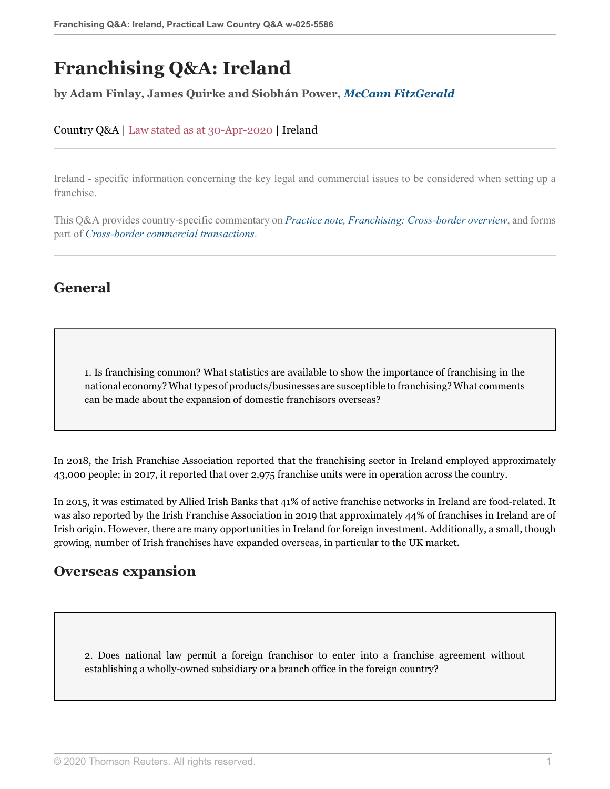# **Franchising Q&A: Ireland**

#### **by Adam Finlay, James Quirke and Siobhán Power,** *[McCann FitzGerald](https://uk.practicallaw.thomsonreuters.com/Browse/Home/About/Contributor/McCannFitzGerald )*

#### Country Q&A | Law stated as at 30-Apr-2020 | Ireland

Ireland - specific information concerning the key legal and commercial issues to be considered when setting up a franchise.

This Q&A provides country-specific commentary on *[Practice note, Franchising: Cross-border overview](http://uk.practicallaw.thomsonreuters.com/8-107-4388?originationContext=document&vr=3.0&rs=PLUK1.0&transitionType=DocumentItem&contextData=(sc.Default))*, and forms part of *[Cross-border commercial transactions](https://uk.practicallaw.thomsonreuters.com/Browse/Home/International/Crossbordercommercialtransactions%20 )*.

### **General**

1. Is franchising common? What statistics are available to show the importance of franchising in the national economy? What types of products/businesses are susceptible to franchising? What comments can be made about the expansion of domestic franchisors overseas?

In 2018, the Irish Franchise Association reported that the franchising sector in Ireland employed approximately 43,000 people; in 2017, it reported that over 2,975 franchise units were in operation across the country.

In 2015, it was estimated by Allied Irish Banks that 41% of active franchise networks in Ireland are food-related. It was also reported by the Irish Franchise Association in 2019 that approximately 44% of franchises in Ireland are of Irish origin. However, there are many opportunities in Ireland for foreign investment. Additionally, a small, though growing, number of Irish franchises have expanded overseas, in particular to the UK market.

### **Overseas expansion**

2. Does national law permit a foreign franchisor to enter into a franchise agreement without establishing a wholly-owned subsidiary or a branch office in the foreign country?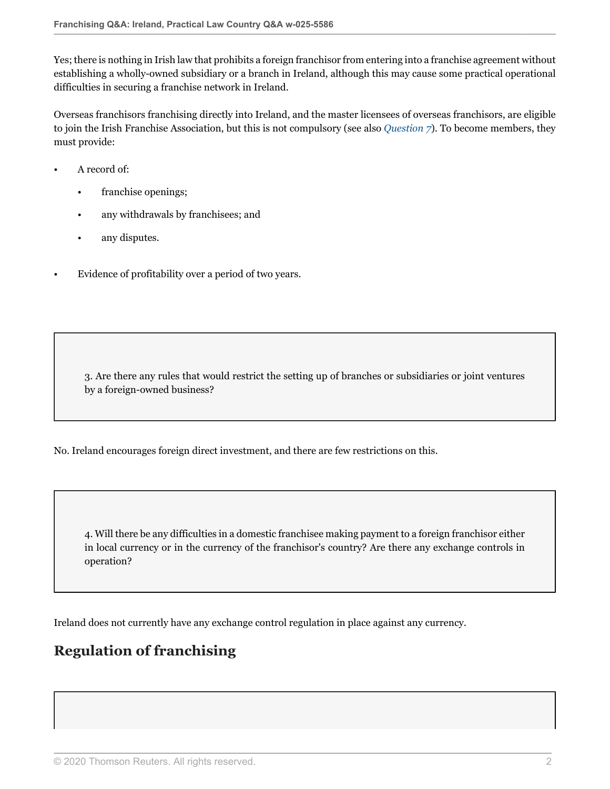Yes; there is nothing in Irish law that prohibits a foreign franchisor from entering into a franchise agreement without establishing a wholly-owned subsidiary or a branch in Ireland, although this may cause some practical operational difficulties in securing a franchise network in Ireland.

Overseas franchisors franchising directly into Ireland, and the master licensees of overseas franchisors, are eligible to join the Irish Franchise Association, but this is not compulsory (see also *[Question 7](#page-2-0)*). To become members, they must provide:

- A record of:
	- franchise openings;
	- any withdrawals by franchisees; and
	- any disputes.
- Evidence of profitability over a period of two years.

3. Are there any rules that would restrict the setting up of branches or subsidiaries or joint ventures by a foreign-owned business?

No. Ireland encourages foreign direct investment, and there are few restrictions on this.

4. Will there be any difficulties in a domestic franchisee making payment to a foreign franchisor either in local currency or in the currency of the franchisor's country? Are there any exchange controls in operation?

Ireland does not currently have any exchange control regulation in place against any currency.

## **Regulation of franchising**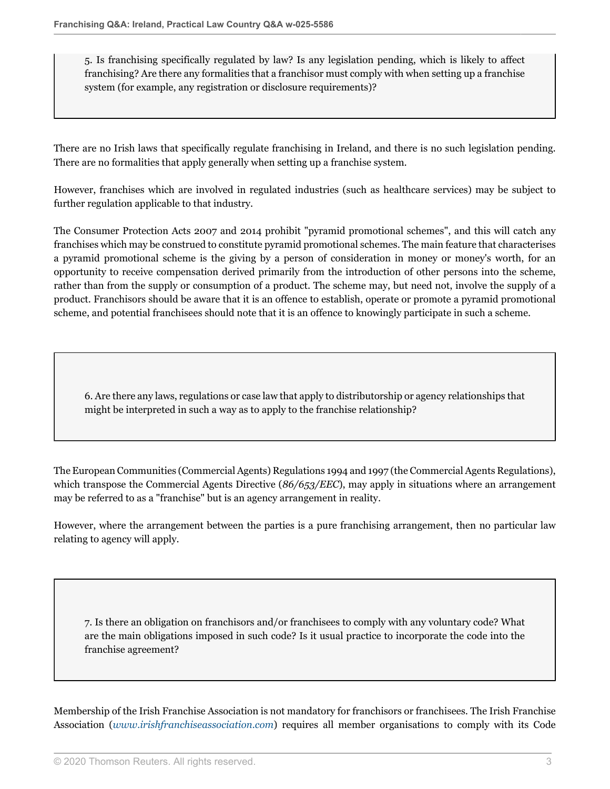5. Is franchising specifically regulated by law? Is any legislation pending, which is likely to affect franchising? Are there any formalities that a franchisor must comply with when setting up a franchise system (for example, any registration or disclosure requirements)?

There are no Irish laws that specifically regulate franchising in Ireland, and there is no such legislation pending. There are no formalities that apply generally when setting up a franchise system.

However, franchises which are involved in regulated industries (such as healthcare services) may be subject to further regulation applicable to that industry.

The Consumer Protection Acts 2007 and 2014 prohibit "pyramid promotional schemes", and this will catch any franchises which may be construed to constitute pyramid promotional schemes. The main feature that characterises a pyramid promotional scheme is the giving by a person of consideration in money or money's worth, for an opportunity to receive compensation derived primarily from the introduction of other persons into the scheme, rather than from the supply or consumption of a product. The scheme may, but need not, involve the supply of a product. Franchisors should be aware that it is an offence to establish, operate or promote a pyramid promotional scheme, and potential franchisees should note that it is an offence to knowingly participate in such a scheme.

6. Are there any laws, regulations or case law that apply to distributorship or agency relationships that might be interpreted in such a way as to apply to the franchise relationship?

The European Communities (Commercial Agents) Regulations 1994 and 1997 (the Commercial Agents Regulations), which transpose the Commercial Agents Directive (*86/653/EEC*), may apply in situations where an arrangement may be referred to as a "franchise" but is an agency arrangement in reality.

However, where the arrangement between the parties is a pure franchising arrangement, then no particular law relating to agency will apply.

<span id="page-2-0"></span>7. Is there an obligation on franchisors and/or franchisees to comply with any voluntary code? What are the main obligations imposed in such code? Is it usual practice to incorporate the code into the franchise agreement?

Membership of the Irish Franchise Association is not mandatory for franchisors or franchisees. The Irish Franchise Association (*[www.irishfranchiseassociation.com](http://www.irishfranchiseassociation.com)*) requires all member organisations to comply with its Code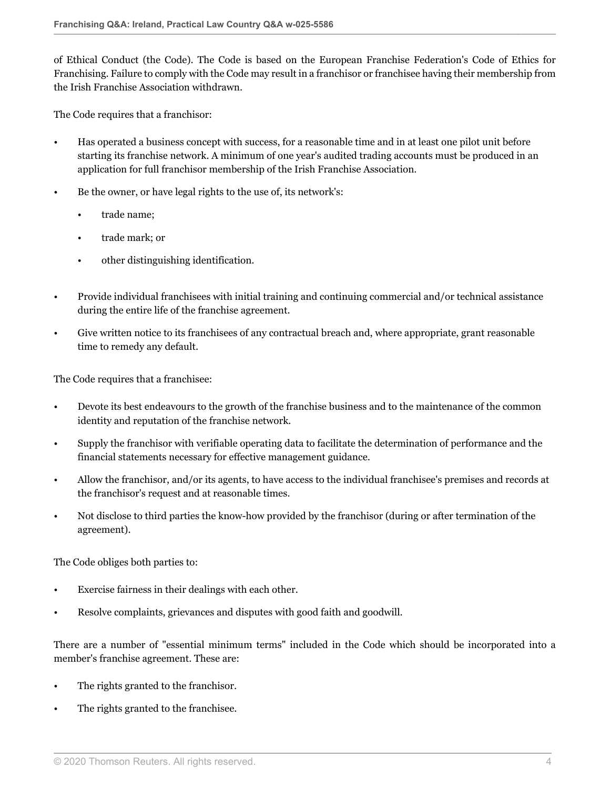of Ethical Conduct (the Code). The Code is based on the European Franchise Federation's Code of Ethics for Franchising. Failure to comply with the Code may result in a franchisor or franchisee having their membership from the Irish Franchise Association withdrawn.

The Code requires that a franchisor:

- Has operated a business concept with success, for a reasonable time and in at least one pilot unit before starting its franchise network. A minimum of one year's audited trading accounts must be produced in an application for full franchisor membership of the Irish Franchise Association.
- Be the owner, or have legal rights to the use of, its network's:
	- trade name;
	- trade mark; or
	- other distinguishing identification.
- Provide individual franchisees with initial training and continuing commercial and/or technical assistance during the entire life of the franchise agreement.
- Give written notice to its franchisees of any contractual breach and, where appropriate, grant reasonable time to remedy any default.

The Code requires that a franchisee:

- Devote its best endeavours to the growth of the franchise business and to the maintenance of the common identity and reputation of the franchise network.
- Supply the franchisor with verifiable operating data to facilitate the determination of performance and the financial statements necessary for effective management guidance.
- Allow the franchisor, and/or its agents, to have access to the individual franchisee's premises and records at the franchisor's request and at reasonable times.
- Not disclose to third parties the know-how provided by the franchisor (during or after termination of the agreement).

The Code obliges both parties to:

- Exercise fairness in their dealings with each other.
- Resolve complaints, grievances and disputes with good faith and goodwill.

There are a number of "essential minimum terms" included in the Code which should be incorporated into a member's franchise agreement. These are:

- The rights granted to the franchisor.
- The rights granted to the franchisee.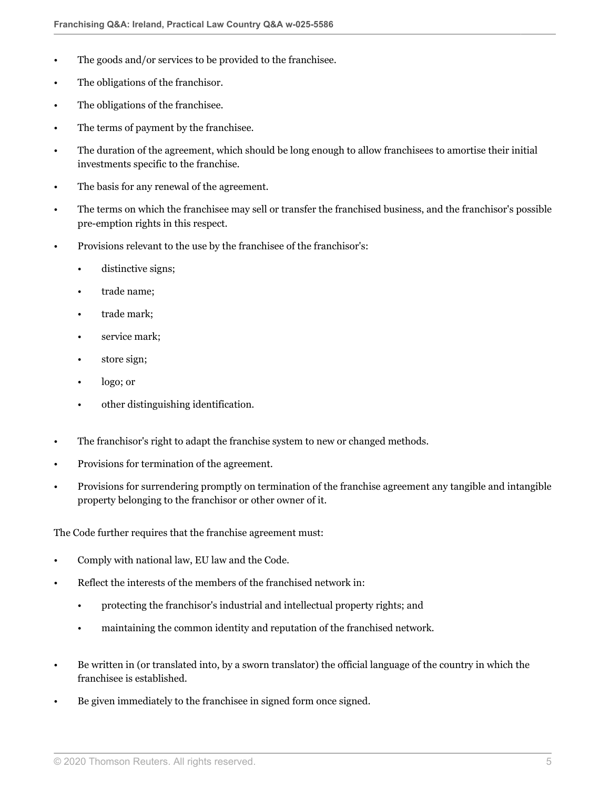- The goods and/or services to be provided to the franchisee.
- The obligations of the franchisor.
- The obligations of the franchisee.
- The terms of payment by the franchisee.
- The duration of the agreement, which should be long enough to allow franchisees to amortise their initial investments specific to the franchise.
- The basis for any renewal of the agreement.
- The terms on which the franchisee may sell or transfer the franchised business, and the franchisor's possible pre-emption rights in this respect.
- Provisions relevant to the use by the franchisee of the franchisor's:
	- distinctive signs;
	- trade name;
	- trade mark;
	- service mark;
	- store sign;
	- logo; or
	- other distinguishing identification.
- The franchisor's right to adapt the franchise system to new or changed methods.
- Provisions for termination of the agreement.
- Provisions for surrendering promptly on termination of the franchise agreement any tangible and intangible property belonging to the franchisor or other owner of it.

The Code further requires that the franchise agreement must:

- Comply with national law, EU law and the Code.
- Reflect the interests of the members of the franchised network in:
	- protecting the franchisor's industrial and intellectual property rights; and
	- maintaining the common identity and reputation of the franchised network.
- Be written in (or translated into, by a sworn translator) the official language of the country in which the franchisee is established.
- Be given immediately to the franchisee in signed form once signed.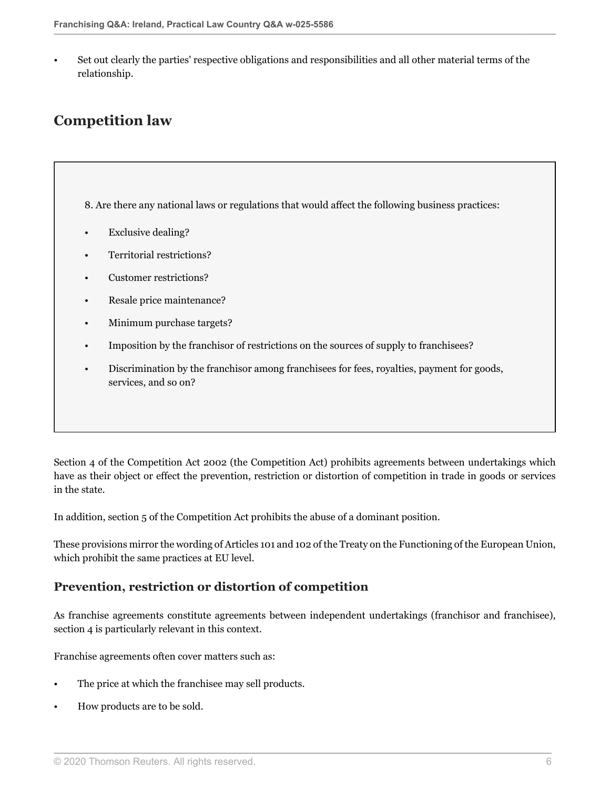• Set out clearly the parties' respective obligations and responsibilities and all other material terms of the relationship.

# **Competition law**

<span id="page-5-0"></span>8. Are there any national laws or regulations that would affect the following business practices:

- Exclusive dealing?
- Territorial restrictions?
- Customer restrictions?
- Resale price maintenance?
- Minimum purchase targets?
- Imposition by the franchisor of restrictions on the sources of supply to franchisees?
- Discrimination by the franchisor among franchisees for fees, royalties, payment for goods, services, and so on?

Section 4 of the Competition Act 2002 (the Competition Act) prohibits agreements between undertakings which have as their object or effect the prevention, restriction or distortion of competition in trade in goods or services in the state.

In addition, section 5 of the Competition Act prohibits the abuse of a dominant position.

These provisions mirror the wording of Articles 101 and 102 of the Treaty on the Functioning of the European Union, which prohibit the same practices at EU level.

#### **Prevention, restriction or distortion of competition**

As franchise agreements constitute agreements between independent undertakings (franchisor and franchisee), section 4 is particularly relevant in this context.

Franchise agreements often cover matters such as:

- The price at which the franchisee may sell products.
- How products are to be sold.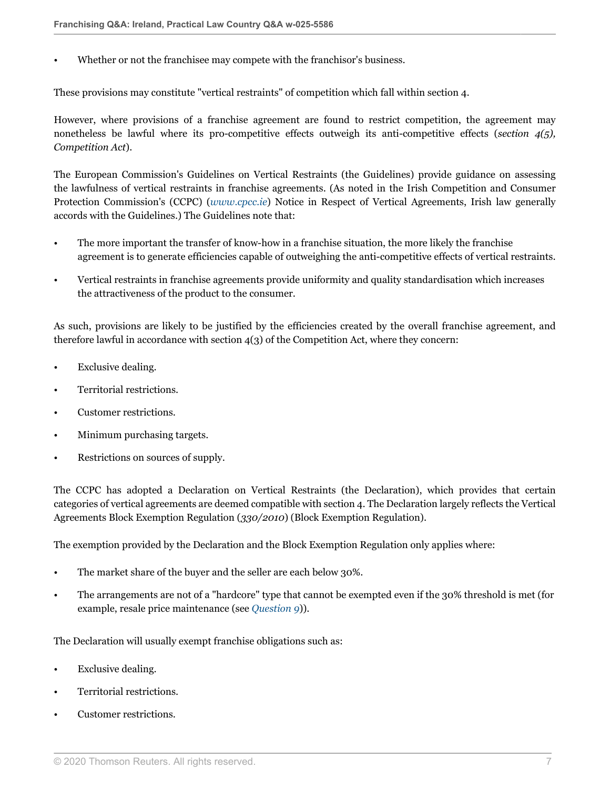Whether or not the franchisee may compete with the franchisor's business.

These provisions may constitute "vertical restraints" of competition which fall within section 4.

However, where provisions of a franchise agreement are found to restrict competition, the agreement may nonetheless be lawful where its pro-competitive effects outweigh its anti-competitive effects (*section 4(5), Competition Act*).

The European Commission's Guidelines on Vertical Restraints (the Guidelines) provide guidance on assessing the lawfulness of vertical restraints in franchise agreements. (As noted in the Irish Competition and Consumer Protection Commission's (CCPC) (*[www.cpcc.ie](http://www.cpcc.ie)*) Notice in Respect of Vertical Agreements, Irish law generally accords with the Guidelines.) The Guidelines note that:

- The more important the transfer of know-how in a franchise situation, the more likely the franchise agreement is to generate efficiencies capable of outweighing the anti-competitive effects of vertical restraints.
- Vertical restraints in franchise agreements provide uniformity and quality standardisation which increases the attractiveness of the product to the consumer.

As such, provisions are likely to be justified by the efficiencies created by the overall franchise agreement, and therefore lawful in accordance with section 4(3) of the Competition Act, where they concern:

- Exclusive dealing.
- Territorial restrictions.
- Customer restrictions.
- Minimum purchasing targets.
- Restrictions on sources of supply.

The CCPC has adopted a Declaration on Vertical Restraints (the Declaration), which provides that certain categories of vertical agreements are deemed compatible with section 4. The Declaration largely reflects the Vertical Agreements Block Exemption Regulation (*330/2010*) (Block Exemption Regulation).

The exemption provided by the Declaration and the Block Exemption Regulation only applies where:

- The market share of the buyer and the seller are each below 30%.
- The arrangements are not of a "hardcore" type that cannot be exempted even if the 30% threshold is met (for example, resale price maintenance (see *[Question 9](#page-7-0)*)).

The Declaration will usually exempt franchise obligations such as:

- Exclusive dealing.
- Territorial restrictions.
- Customer restrictions.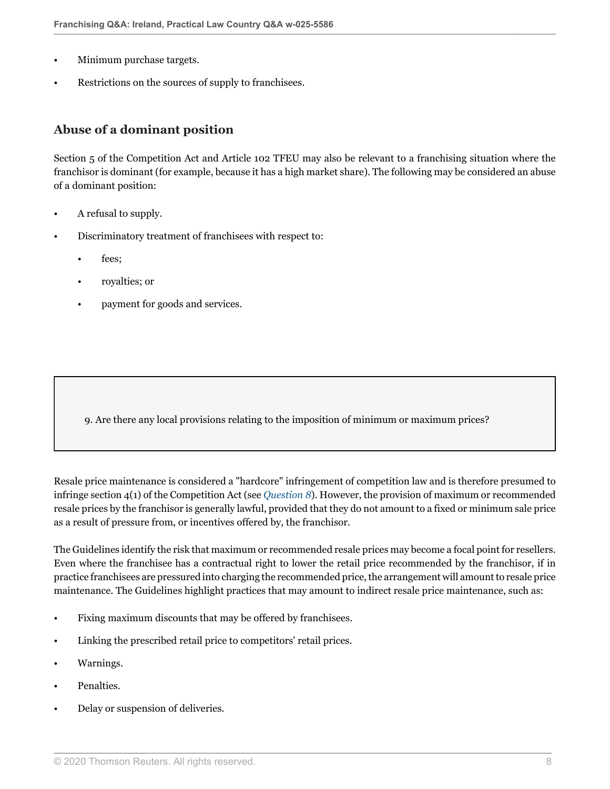- Minimum purchase targets.
- Restrictions on the sources of supply to franchisees.

#### **Abuse of a dominant position**

Section 5 of the Competition Act and Article 102 TFEU may also be relevant to a franchising situation where the franchisor is dominant (for example, because it has a high market share). The following may be considered an abuse of a dominant position:

- A refusal to supply.
- Discriminatory treatment of franchisees with respect to:
	- fees;
	- royalties; or
	- payment for goods and services.

<span id="page-7-0"></span>9. Are there any local provisions relating to the imposition of minimum or maximum prices?

Resale price maintenance is considered a "hardcore" infringement of competition law and is therefore presumed to infringe section 4(1) of the Competition Act (see *[Question 8](#page-5-0)*). However, the provision of maximum or recommended resale prices by the franchisor is generally lawful, provided that they do not amount to a fixed or minimum sale price as a result of pressure from, or incentives offered by, the franchisor.

The Guidelines identify the risk that maximum or recommended resale prices may become a focal point for resellers. Even where the franchisee has a contractual right to lower the retail price recommended by the franchisor, if in practice franchisees are pressured into charging the recommended price, the arrangement will amount to resale price maintenance. The Guidelines highlight practices that may amount to indirect resale price maintenance, such as:

- Fixing maximum discounts that may be offered by franchisees.
- Linking the prescribed retail price to competitors' retail prices.
- Warnings.
- Penalties.
- Delay or suspension of deliveries.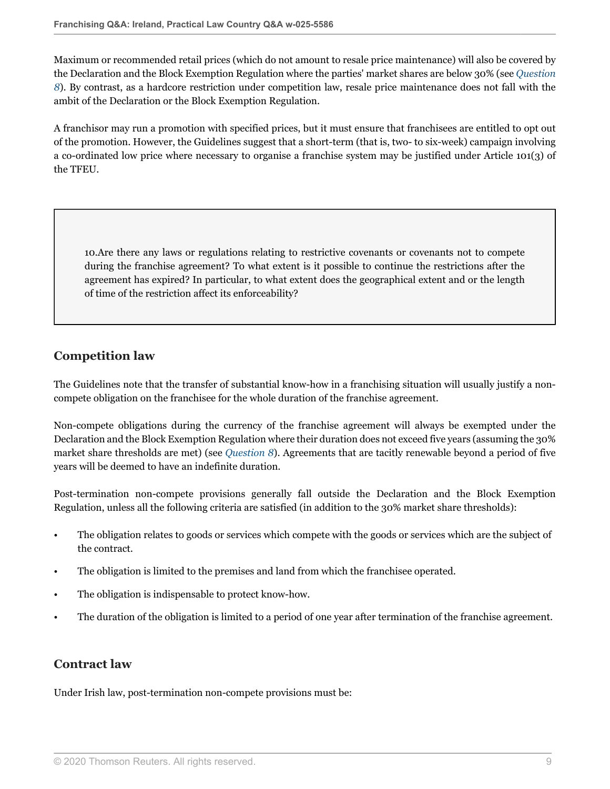Maximum or recommended retail prices (which do not amount to resale price maintenance) will also be covered by the Declaration and the Block Exemption Regulation where the parties' market shares are below 30% (see *[Question](#page-5-0) [8](#page-5-0)*). By contrast, as a hardcore restriction under competition law, resale price maintenance does not fall with the ambit of the Declaration or the Block Exemption Regulation.

A franchisor may run a promotion with specified prices, but it must ensure that franchisees are entitled to opt out of the promotion. However, the Guidelines suggest that a short-term (that is, two- to six-week) campaign involving a co-ordinated low price where necessary to organise a franchise system may be justified under Article 101(3) of the TFEU.

<span id="page-8-0"></span>10.Are there any laws or regulations relating to restrictive covenants or covenants not to compete during the franchise agreement? To what extent is it possible to continue the restrictions after the agreement has expired? In particular, to what extent does the geographical extent and or the length of time of the restriction affect its enforceability?

### **Competition law**

The Guidelines note that the transfer of substantial know-how in a franchising situation will usually justify a noncompete obligation on the franchisee for the whole duration of the franchise agreement.

Non-compete obligations during the currency of the franchise agreement will always be exempted under the Declaration and the Block Exemption Regulation where their duration does not exceed five years (assuming the 30% market share thresholds are met) (see *[Question 8](#page-5-0)*). Agreements that are tacitly renewable beyond a period of five years will be deemed to have an indefinite duration.

Post-termination non-compete provisions generally fall outside the Declaration and the Block Exemption Regulation, unless all the following criteria are satisfied (in addition to the 30% market share thresholds):

- The obligation relates to goods or services which compete with the goods or services which are the subject of the contract.
- The obligation is limited to the premises and land from which the franchisee operated.
- The obligation is indispensable to protect know-how.
- The duration of the obligation is limited to a period of one year after termination of the franchise agreement.

### **Contract law**

Under Irish law, post-termination non-compete provisions must be: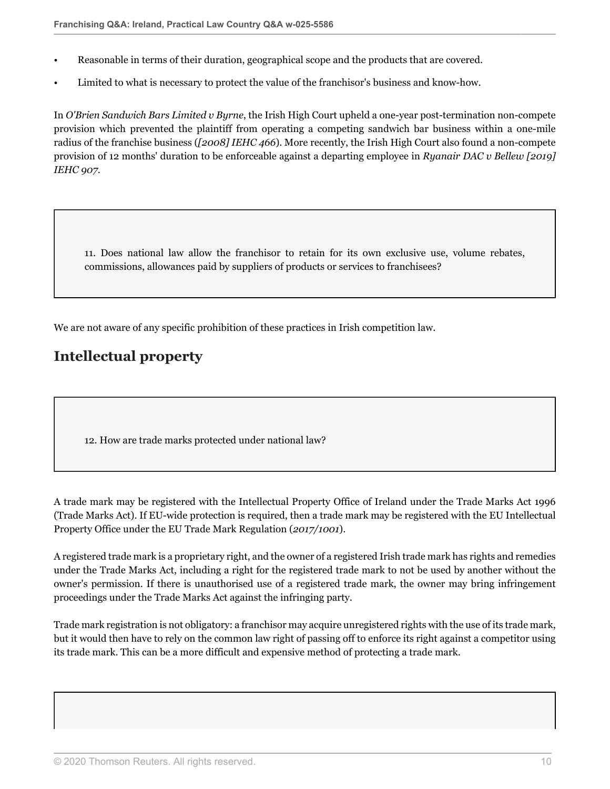- Reasonable in terms of their duration, geographical scope and the products that are covered.
- Limited to what is necessary to protect the value of the franchisor's business and know-how.

In *O'Brien Sandwich Bars Limited v Byrne*, the Irish High Court upheld a one-year post-termination non-compete provision which prevented the plaintiff from operating a competing sandwich bar business within a one-mile radius of the franchise business (*[2008] IEHC 466*). More recently, the Irish High Court also found a non-compete provision of 12 months' duration to be enforceable against a departing employee in *Ryanair DAC v Bellew [2019] IEHC 907*.

11. Does national law allow the franchisor to retain for its own exclusive use, volume rebates, commissions, allowances paid by suppliers of products or services to franchisees?

We are not aware of any specific prohibition of these practices in Irish competition law.

# **Intellectual property**

12. How are trade marks protected under national law?

A trade mark may be registered with the Intellectual Property Office of Ireland under the Trade Marks Act 1996 (Trade Marks Act). If EU-wide protection is required, then a trade mark may be registered with the EU Intellectual Property Office under the EU Trade Mark Regulation (*2017/1001*).

A registered trade mark is a proprietary right, and the owner of a registered Irish trade mark has rights and remedies under the Trade Marks Act, including a right for the registered trade mark to not be used by another without the owner's permission. If there is unauthorised use of a registered trade mark, the owner may bring infringement proceedings under the Trade Marks Act against the infringing party.

Trade mark registration is not obligatory: a franchisor may acquire unregistered rights with the use of its trade mark, but it would then have to rely on the common law right of passing off to enforce its right against a competitor using its trade mark. This can be a more difficult and expensive method of protecting a trade mark.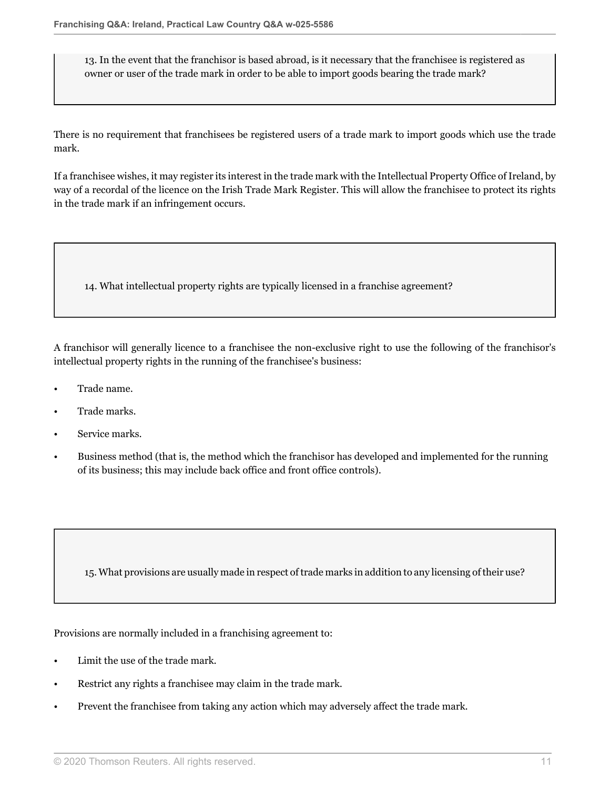13. In the event that the franchisor is based abroad, is it necessary that the franchisee is registered as owner or user of the trade mark in order to be able to import goods bearing the trade mark?

There is no requirement that franchisees be registered users of a trade mark to import goods which use the trade mark.

If a franchisee wishes, it may register its interest in the trade mark with the Intellectual Property Office of Ireland, by way of a recordal of the licence on the Irish Trade Mark Register. This will allow the franchisee to protect its rights in the trade mark if an infringement occurs.

14. What intellectual property rights are typically licensed in a franchise agreement?

A franchisor will generally licence to a franchisee the non-exclusive right to use the following of the franchisor's intellectual property rights in the running of the franchisee's business:

- Trade name.
- Trade marks.
- Service marks.
- Business method (that is, the method which the franchisor has developed and implemented for the running of its business; this may include back office and front office controls).

15. What provisions are usually made in respect of trade marks in addition to any licensing of their use?

Provisions are normally included in a franchising agreement to:

- Limit the use of the trade mark.
- Restrict any rights a franchisee may claim in the trade mark.
- Prevent the franchisee from taking any action which may adversely affect the trade mark.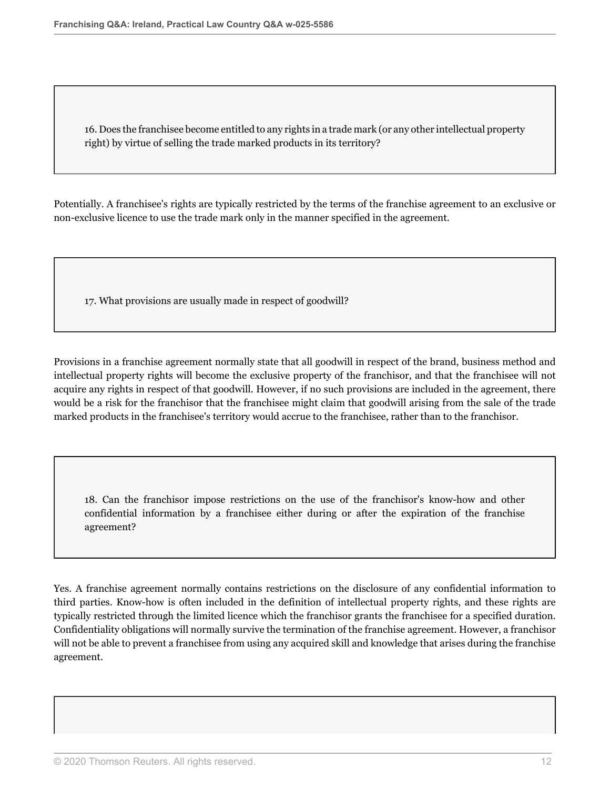16. Does the franchisee become entitled to any rights in a trade mark (or any other intellectual property right) by virtue of selling the trade marked products in its territory?

Potentially. A franchisee's rights are typically restricted by the terms of the franchise agreement to an exclusive or non-exclusive licence to use the trade mark only in the manner specified in the agreement.

17. What provisions are usually made in respect of goodwill?

Provisions in a franchise agreement normally state that all goodwill in respect of the brand, business method and intellectual property rights will become the exclusive property of the franchisor, and that the franchisee will not acquire any rights in respect of that goodwill. However, if no such provisions are included in the agreement, there would be a risk for the franchisor that the franchisee might claim that goodwill arising from the sale of the trade marked products in the franchisee's territory would accrue to the franchisee, rather than to the franchisor.

18. Can the franchisor impose restrictions on the use of the franchisor's know-how and other confidential information by a franchisee either during or after the expiration of the franchise agreement?

Yes. A franchise agreement normally contains restrictions on the disclosure of any confidential information to third parties. Know-how is often included in the definition of intellectual property rights, and these rights are typically restricted through the limited licence which the franchisor grants the franchisee for a specified duration. Confidentiality obligations will normally survive the termination of the franchise agreement. However, a franchisor will not be able to prevent a franchisee from using any acquired skill and knowledge that arises during the franchise agreement.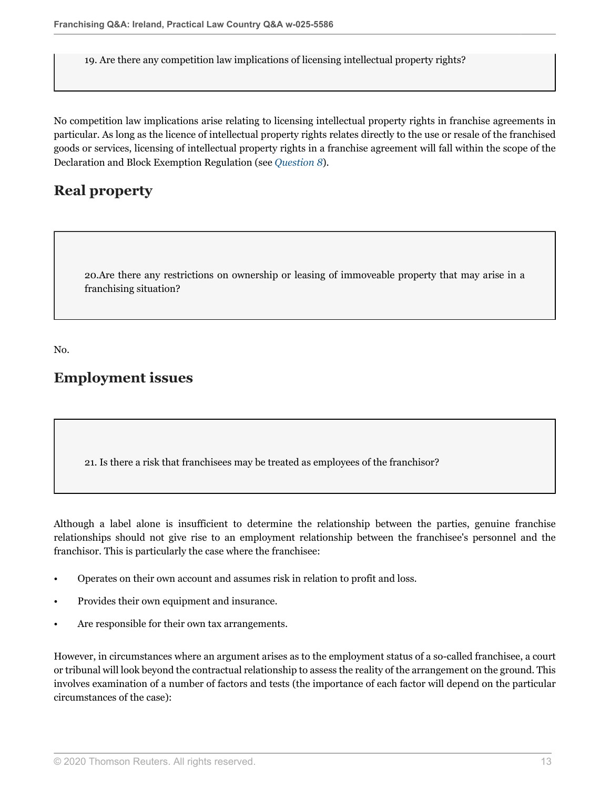19. Are there any competition law implications of licensing intellectual property rights?

No competition law implications arise relating to licensing intellectual property rights in franchise agreements in particular. As long as the licence of intellectual property rights relates directly to the use or resale of the franchised goods or services, licensing of intellectual property rights in a franchise agreement will fall within the scope of the Declaration and Block Exemption Regulation (see *[Question 8](#page-5-0)*).

# **Real property**

20.Are there any restrictions on ownership or leasing of immoveable property that may arise in a franchising situation?

No.

### **Employment issues**

21. Is there a risk that franchisees may be treated as employees of the franchisor?

Although a label alone is insufficient to determine the relationship between the parties, genuine franchise relationships should not give rise to an employment relationship between the franchisee's personnel and the franchisor. This is particularly the case where the franchisee:

- Operates on their own account and assumes risk in relation to profit and loss.
- Provides their own equipment and insurance.
- Are responsible for their own tax arrangements.

However, in circumstances where an argument arises as to the employment status of a so-called franchisee, a court or tribunal will look beyond the contractual relationship to assess the reality of the arrangement on the ground. This involves examination of a number of factors and tests (the importance of each factor will depend on the particular circumstances of the case):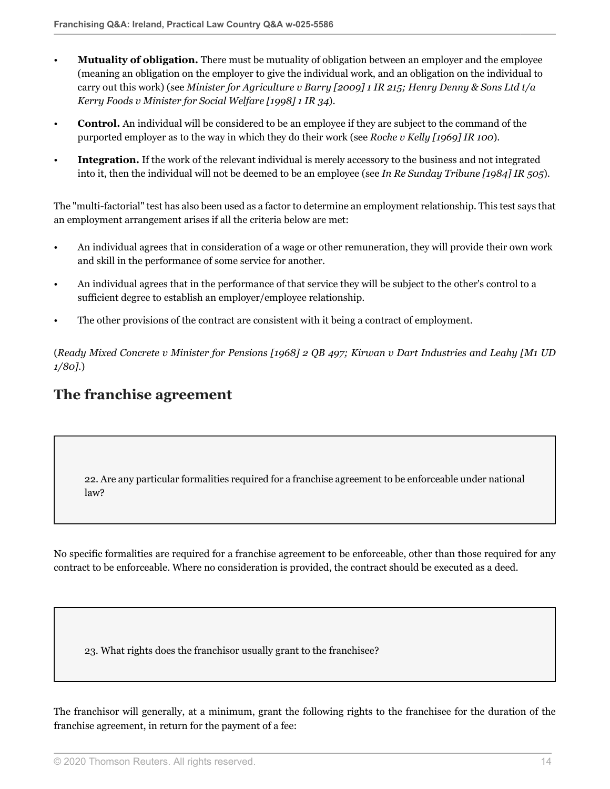- **Mutuality of obligation.** There must be mutuality of obligation between an employer and the employee (meaning an obligation on the employer to give the individual work, and an obligation on the individual to carry out this work) (see *Minister for Agriculture v Barry [2009] 1 IR 215; Henry Denny & Sons Ltd t/a Kerry Foods v Minister for Social Welfare [1998] 1 IR 34*).
- **Control.** An individual will be considered to be an employee if they are subject to the command of the purported employer as to the way in which they do their work (see *Roche v Kelly [1969] IR 100*).
- **Integration.** If the work of the relevant individual is merely accessory to the business and not integrated into it, then the individual will not be deemed to be an employee (see *In Re Sunday Tribune [1984] IR 505*).

The "multi-factorial" test has also been used as a factor to determine an employment relationship. This test says that an employment arrangement arises if all the criteria below are met:

- An individual agrees that in consideration of a wage or other remuneration, they will provide their own work and skill in the performance of some service for another.
- An individual agrees that in the performance of that service they will be subject to the other's control to a sufficient degree to establish an employer/employee relationship.
- The other provisions of the contract are consistent with it being a contract of employment.

(*Ready Mixed Concrete v Minister for Pensions [1968] 2 QB 497; Kirwan v Dart Industries and Leahy [M1 UD 1/80].*)

## **The franchise agreement**

22. Are any particular formalities required for a franchise agreement to be enforceable under national law?

No specific formalities are required for a franchise agreement to be enforceable, other than those required for any contract to be enforceable. Where no consideration is provided, the contract should be executed as a deed.

23. What rights does the franchisor usually grant to the franchisee?

The franchisor will generally, at a minimum, grant the following rights to the franchisee for the duration of the franchise agreement, in return for the payment of a fee: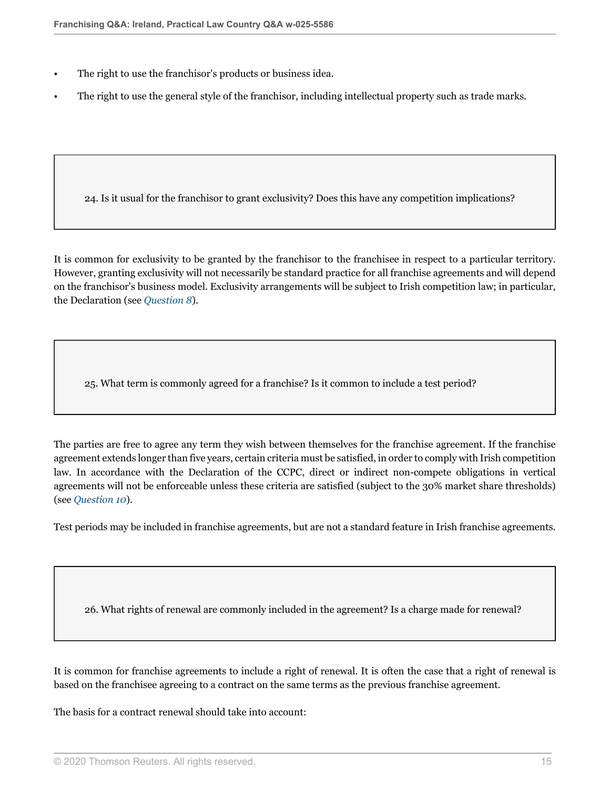- The right to use the franchisor's products or business idea.
- The right to use the general style of the franchisor, including intellectual property such as trade marks.

24. Is it usual for the franchisor to grant exclusivity? Does this have any competition implications?

It is common for exclusivity to be granted by the franchisor to the franchisee in respect to a particular territory. However, granting exclusivity will not necessarily be standard practice for all franchise agreements and will depend on the franchisor's business model. Exclusivity arrangements will be subject to Irish competition law; in particular, the Declaration (see *[Question 8](#page-5-0)*).

25. What term is commonly agreed for a franchise? Is it common to include a test period?

The parties are free to agree any term they wish between themselves for the franchise agreement. If the franchise agreement extends longer than five years, certain criteria must be satisfied, in order to comply with Irish competition law. In accordance with the Declaration of the CCPC, direct or indirect non-compete obligations in vertical agreements will not be enforceable unless these criteria are satisfied (subject to the 30% market share thresholds) (see *[Question 10](#page-8-0)*).

Test periods may be included in franchise agreements, but are not a standard feature in Irish franchise agreements.

26. What rights of renewal are commonly included in the agreement? Is a charge made for renewal?

It is common for franchise agreements to include a right of renewal. It is often the case that a right of renewal is based on the franchisee agreeing to a contract on the same terms as the previous franchise agreement.

The basis for a contract renewal should take into account: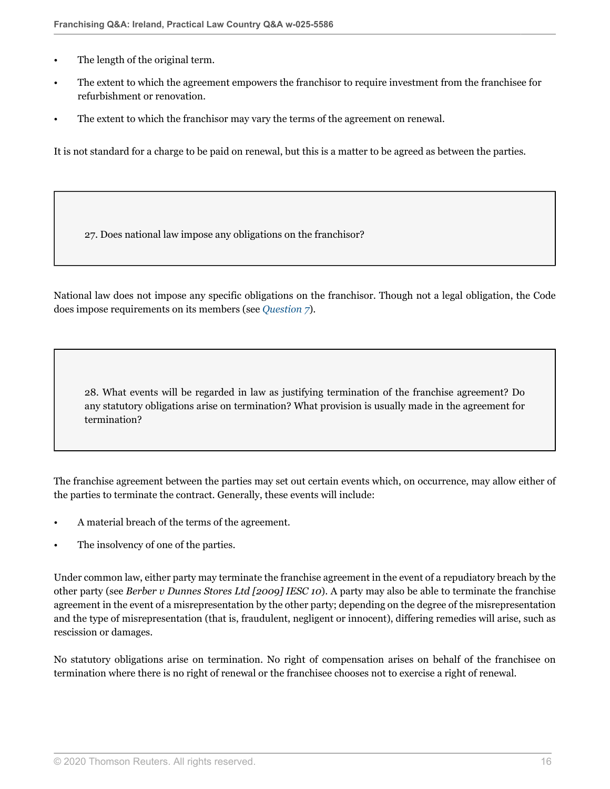- The length of the original term.
- The extent to which the agreement empowers the franchisor to require investment from the franchisee for refurbishment or renovation.
- The extent to which the franchisor may vary the terms of the agreement on renewal.

It is not standard for a charge to be paid on renewal, but this is a matter to be agreed as between the parties.

27. Does national law impose any obligations on the franchisor?

National law does not impose any specific obligations on the franchisor. Though not a legal obligation, the Code does impose requirements on its members (see *[Question 7](#page-2-0)*).

28. What events will be regarded in law as justifying termination of the franchise agreement? Do any statutory obligations arise on termination? What provision is usually made in the agreement for termination?

The franchise agreement between the parties may set out certain events which, on occurrence, may allow either of the parties to terminate the contract. Generally, these events will include:

- A material breach of the terms of the agreement.
- The insolvency of one of the parties.

Under common law, either party may terminate the franchise agreement in the event of a repudiatory breach by the other party (see *Berber v Dunnes Stores Ltd [2009] IESC 10*). A party may also be able to terminate the franchise agreement in the event of a misrepresentation by the other party; depending on the degree of the misrepresentation and the type of misrepresentation (that is, fraudulent, negligent or innocent), differing remedies will arise, such as rescission or damages.

No statutory obligations arise on termination. No right of compensation arises on behalf of the franchisee on termination where there is no right of renewal or the franchisee chooses not to exercise a right of renewal.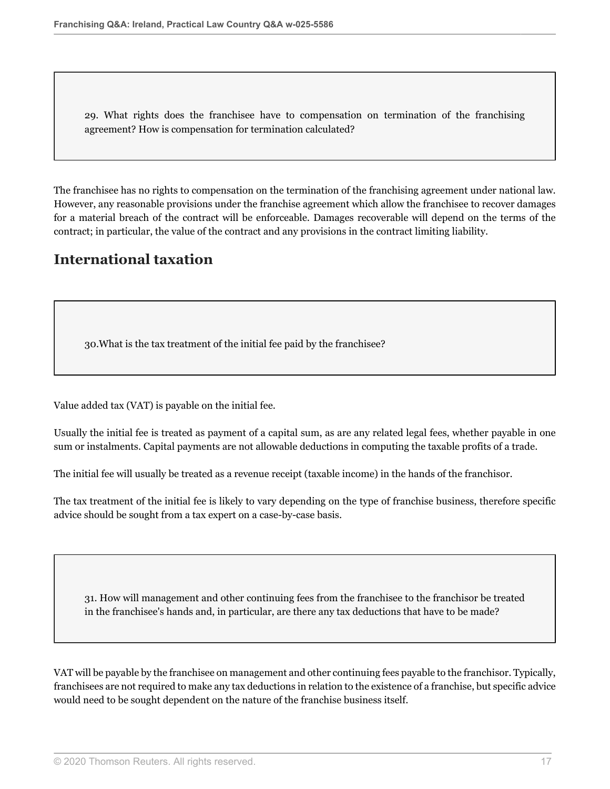29. What rights does the franchisee have to compensation on termination of the franchising agreement? How is compensation for termination calculated?

The franchisee has no rights to compensation on the termination of the franchising agreement under national law. However, any reasonable provisions under the franchise agreement which allow the franchisee to recover damages for a material breach of the contract will be enforceable. Damages recoverable will depend on the terms of the contract; in particular, the value of the contract and any provisions in the contract limiting liability.

# **International taxation**

30.What is the tax treatment of the initial fee paid by the franchisee?

Value added tax (VAT) is payable on the initial fee.

Usually the initial fee is treated as payment of a capital sum, as are any related legal fees, whether payable in one sum or instalments. Capital payments are not allowable deductions in computing the taxable profits of a trade.

The initial fee will usually be treated as a revenue receipt (taxable income) in the hands of the franchisor.

The tax treatment of the initial fee is likely to vary depending on the type of franchise business, therefore specific advice should be sought from a tax expert on a case-by-case basis.

31. How will management and other continuing fees from the franchisee to the franchisor be treated in the franchisee's hands and, in particular, are there any tax deductions that have to be made?

VAT will be payable by the franchisee on management and other continuing fees payable to the franchisor. Typically, franchisees are not required to make any tax deductions in relation to the existence of a franchise, but specific advice would need to be sought dependent on the nature of the franchise business itself.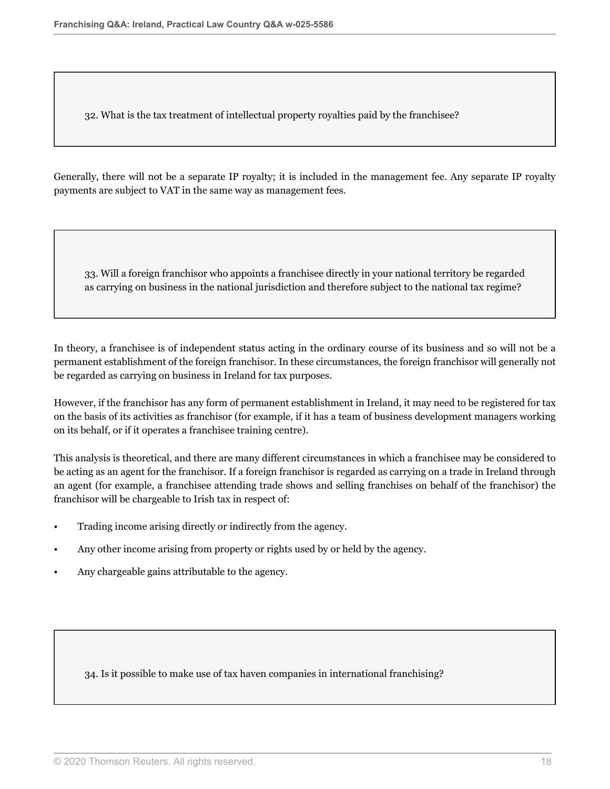32. What is the tax treatment of intellectual property royalties paid by the franchisee?

Generally, there will not be a separate IP royalty; it is included in the management fee. Any separate IP royalty payments are subject to VAT in the same way as management fees.

33. Will a foreign franchisor who appoints a franchisee directly in your national territory be regarded as carrying on business in the national jurisdiction and therefore subject to the national tax regime?

In theory, a franchisee is of independent status acting in the ordinary course of its business and so will not be a permanent establishment of the foreign franchisor. In these circumstances, the foreign franchisor will generally not be regarded as carrying on business in Ireland for tax purposes.

However, if the franchisor has any form of permanent establishment in Ireland, it may need to be registered for tax on the basis of its activities as franchisor (for example, if it has a team of business development managers working on its behalf, or if it operates a franchisee training centre).

This analysis is theoretical, and there are many different circumstances in which a franchisee may be considered to be acting as an agent for the franchisor. If a foreign franchisor is regarded as carrying on a trade in Ireland through an agent (for example, a franchisee attending trade shows and selling franchises on behalf of the franchisor) the franchisor will be chargeable to Irish tax in respect of:

- Trading income arising directly or indirectly from the agency.
- Any other income arising from property or rights used by or held by the agency.
- Any chargeable gains attributable to the agency.

34. Is it possible to make use of tax haven companies in international franchising?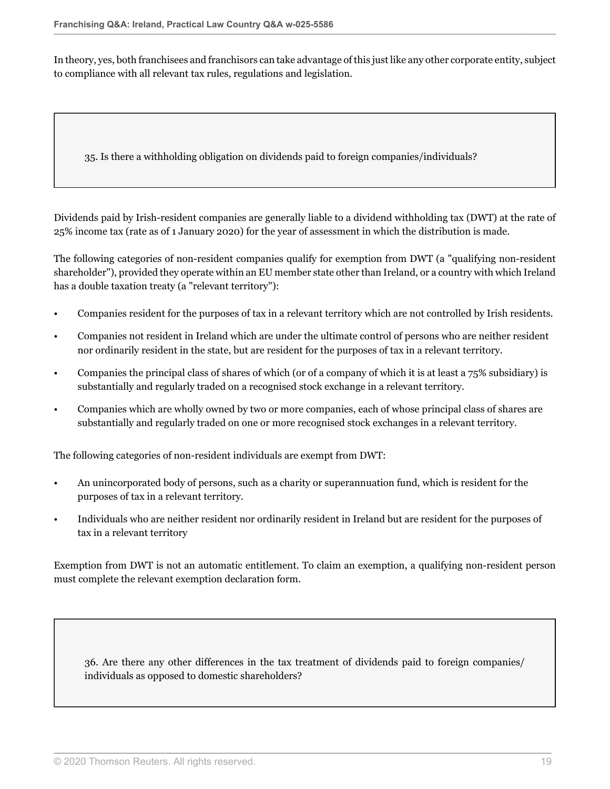In theory, yes, both franchisees and franchisors can take advantage of this just like any other corporate entity, subject to compliance with all relevant tax rules, regulations and legislation.

<span id="page-18-0"></span>35. Is there a withholding obligation on dividends paid to foreign companies/individuals?

Dividends paid by Irish-resident companies are generally liable to a dividend withholding tax (DWT) at the rate of 25% income tax (rate as of 1 January 2020) for the year of assessment in which the distribution is made.

The following categories of non-resident companies qualify for exemption from DWT (a "qualifying non-resident shareholder"), provided they operate within an EU member state other than Ireland, or a country with which Ireland has a double taxation treaty (a "relevant territory"):

- Companies resident for the purposes of tax in a relevant territory which are not controlled by Irish residents.
- Companies not resident in Ireland which are under the ultimate control of persons who are neither resident nor ordinarily resident in the state, but are resident for the purposes of tax in a relevant territory.
- Companies the principal class of shares of which (or of a company of which it is at least a 75% subsidiary) is substantially and regularly traded on a recognised stock exchange in a relevant territory.
- Companies which are wholly owned by two or more companies, each of whose principal class of shares are substantially and regularly traded on one or more recognised stock exchanges in a relevant territory.

The following categories of non-resident individuals are exempt from DWT:

- An unincorporated body of persons, such as a charity or superannuation fund, which is resident for the purposes of tax in a relevant territory.
- Individuals who are neither resident nor ordinarily resident in Ireland but are resident for the purposes of tax in a relevant territory

Exemption from DWT is not an automatic entitlement. To claim an exemption, a qualifying non-resident person must complete the relevant exemption declaration form.

36. Are there any other differences in the tax treatment of dividends paid to foreign companies/ individuals as opposed to domestic shareholders?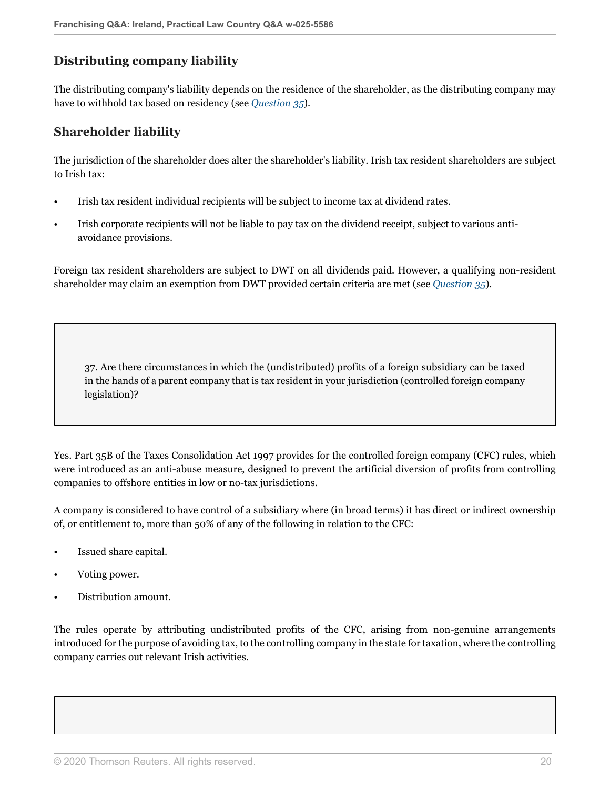### **Distributing company liability**

The distributing company's liability depends on the residence of the shareholder, as the distributing company may have to withhold tax based on residency (see *[Question 35](#page-18-0)*).

### **Shareholder liability**

The jurisdiction of the shareholder does alter the shareholder's liability. Irish tax resident shareholders are subject to Irish tax:

- Irish tax resident individual recipients will be subject to income tax at dividend rates.
- Irish corporate recipients will not be liable to pay tax on the dividend receipt, subject to various antiavoidance provisions.

Foreign tax resident shareholders are subject to DWT on all dividends paid. However, a qualifying non-resident shareholder may claim an exemption from DWT provided certain criteria are met (see *[Question 35](#page-18-0)*).

37. Are there circumstances in which the (undistributed) profits of a foreign subsidiary can be taxed in the hands of a parent company that is tax resident in your jurisdiction (controlled foreign company legislation)?

Yes. Part 35B of the Taxes Consolidation Act 1997 provides for the controlled foreign company (CFC) rules, which were introduced as an anti-abuse measure, designed to prevent the artificial diversion of profits from controlling companies to offshore entities in low or no-tax jurisdictions.

A company is considered to have control of a subsidiary where (in broad terms) it has direct or indirect ownership of, or entitlement to, more than 50% of any of the following in relation to the CFC:

- Issued share capital.
- Voting power.
- Distribution amount.

The rules operate by attributing undistributed profits of the CFC, arising from non-genuine arrangements introduced for the purpose of avoiding tax, to the controlling company in the state for taxation, where the controlling company carries out relevant Irish activities.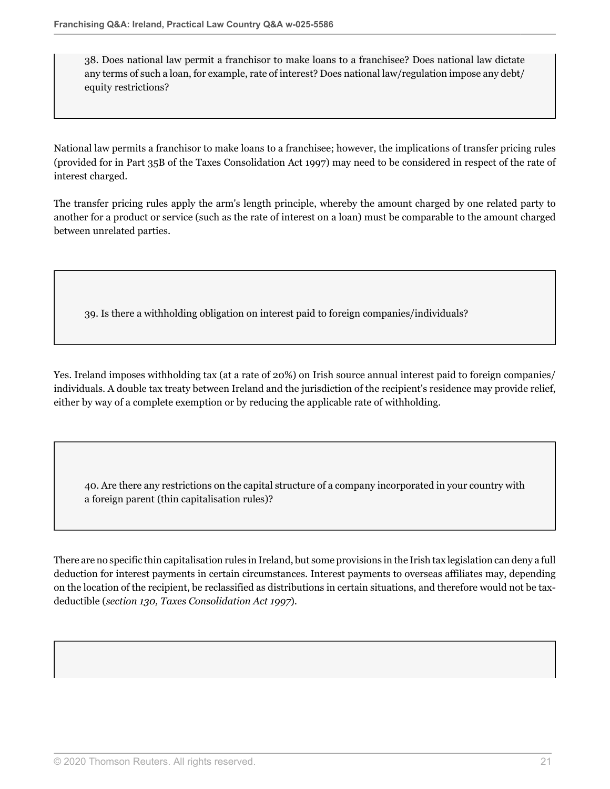38. Does national law permit a franchisor to make loans to a franchisee? Does national law dictate any terms of such a loan, for example, rate of interest? Does national law/regulation impose any debt/ equity restrictions?

National law permits a franchisor to make loans to a franchisee; however, the implications of transfer pricing rules (provided for in Part 35B of the Taxes Consolidation Act 1997) may need to be considered in respect of the rate of interest charged.

The transfer pricing rules apply the arm's length principle, whereby the amount charged by one related party to another for a product or service (such as the rate of interest on a loan) must be comparable to the amount charged between unrelated parties.

39. Is there a withholding obligation on interest paid to foreign companies/individuals?

Yes. Ireland imposes withholding tax (at a rate of 20%) on Irish source annual interest paid to foreign companies/ individuals. A double tax treaty between Ireland and the jurisdiction of the recipient's residence may provide relief, either by way of a complete exemption or by reducing the applicable rate of withholding.

40. Are there any restrictions on the capital structure of a company incorporated in your country with a foreign parent (thin capitalisation rules)?

There are no specific thin capitalisation rules in Ireland, but some provisions in the Irish tax legislation can deny a full deduction for interest payments in certain circumstances. Interest payments to overseas affiliates may, depending on the location of the recipient, be reclassified as distributions in certain situations, and therefore would not be taxdeductible (*section 130, Taxes Consolidation Act 1997*).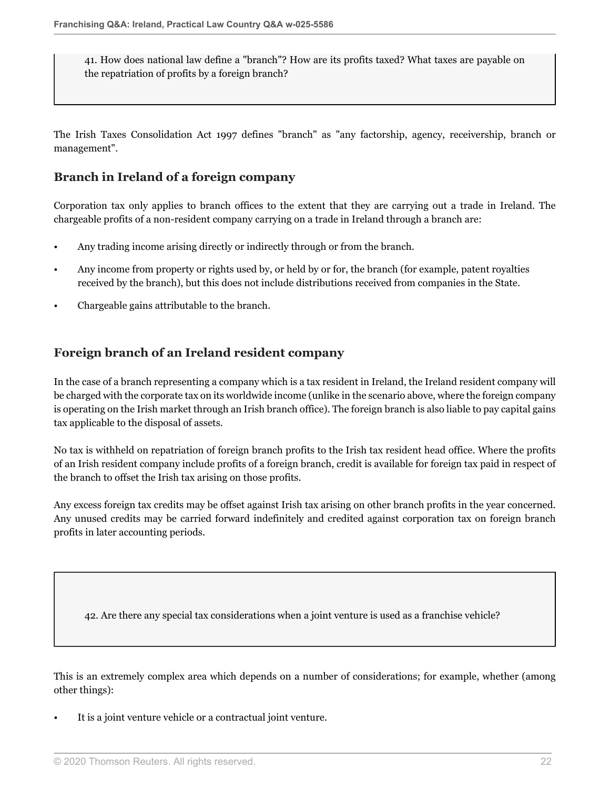41. How does national law define a "branch"? How are its profits taxed? What taxes are payable on the repatriation of profits by a foreign branch?

The Irish Taxes Consolidation Act 1997 defines "branch" as "any factorship, agency, receivership, branch or management".

#### **Branch in Ireland of a foreign company**

Corporation tax only applies to branch offices to the extent that they are carrying out a trade in Ireland. The chargeable profits of a non-resident company carrying on a trade in Ireland through a branch are:

- Any trading income arising directly or indirectly through or from the branch.
- Any income from property or rights used by, or held by or for, the branch (for example, patent royalties received by the branch), but this does not include distributions received from companies in the State.
- Chargeable gains attributable to the branch.

### **Foreign branch of an Ireland resident company**

In the case of a branch representing a company which is a tax resident in Ireland, the Ireland resident company will be charged with the corporate tax on its worldwide income (unlike in the scenario above, where the foreign company is operating on the Irish market through an Irish branch office). The foreign branch is also liable to pay capital gains tax applicable to the disposal of assets.

No tax is withheld on repatriation of foreign branch profits to the Irish tax resident head office. Where the profits of an Irish resident company include profits of a foreign branch, credit is available for foreign tax paid in respect of the branch to offset the Irish tax arising on those profits.

Any excess foreign tax credits may be offset against Irish tax arising on other branch profits in the year concerned. Any unused credits may be carried forward indefinitely and credited against corporation tax on foreign branch profits in later accounting periods.

42. Are there any special tax considerations when a joint venture is used as a franchise vehicle?

This is an extremely complex area which depends on a number of considerations; for example, whether (among other things):

It is a joint venture vehicle or a contractual joint venture.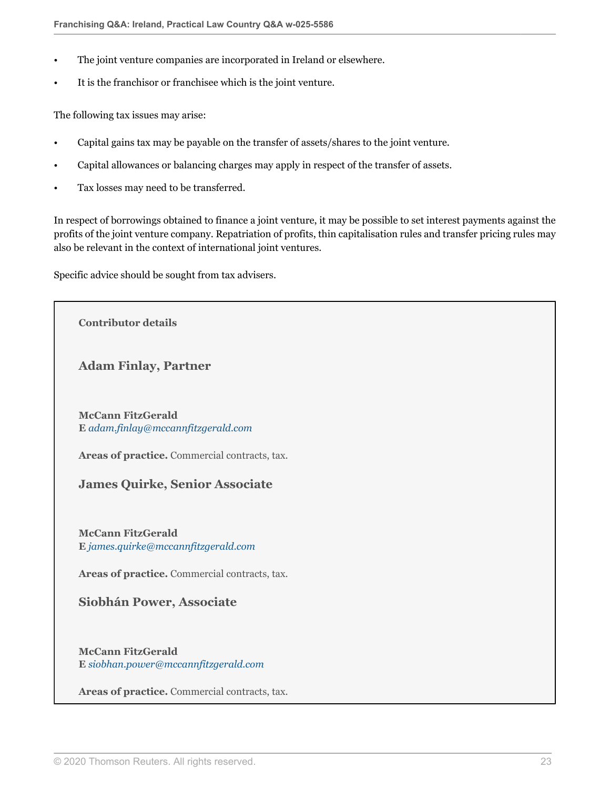- The joint venture companies are incorporated in Ireland or elsewhere.
- It is the franchisor or franchisee which is the joint venture.

The following tax issues may arise:

- Capital gains tax may be payable on the transfer of assets/shares to the joint venture.
- Capital allowances or balancing charges may apply in respect of the transfer of assets.
- Tax losses may need to be transferred.

In respect of borrowings obtained to finance a joint venture, it may be possible to set interest payments against the profits of the joint venture company. Repatriation of profits, thin capitalisation rules and transfer pricing rules may also be relevant in the context of international joint ventures.

Specific advice should be sought from tax advisers.

**Contributor details**

**Adam Finlay, Partner**

**McCann FitzGerald E** *[adam.finlay@mccannfitzgerald.com](mailto:adam.finlay@mccannfitzgerald.com)*

**Areas of practice.** Commercial contracts, tax.

#### **James Quirke, Senior Associate**

**McCann FitzGerald E** *[james.quirke@mccannfitzgerald.com](mailto:james.quirke@mccannfitzgerald.com)*

**Areas of practice.** Commercial contracts, tax.

**Siobhán Power, Associate**

**McCann FitzGerald E** *[siobhan.power@mccannfitzgerald.com](mailto:siobhan.power@mccannfitzgerald.com)*

**Areas of practice.** Commercial contracts, tax.